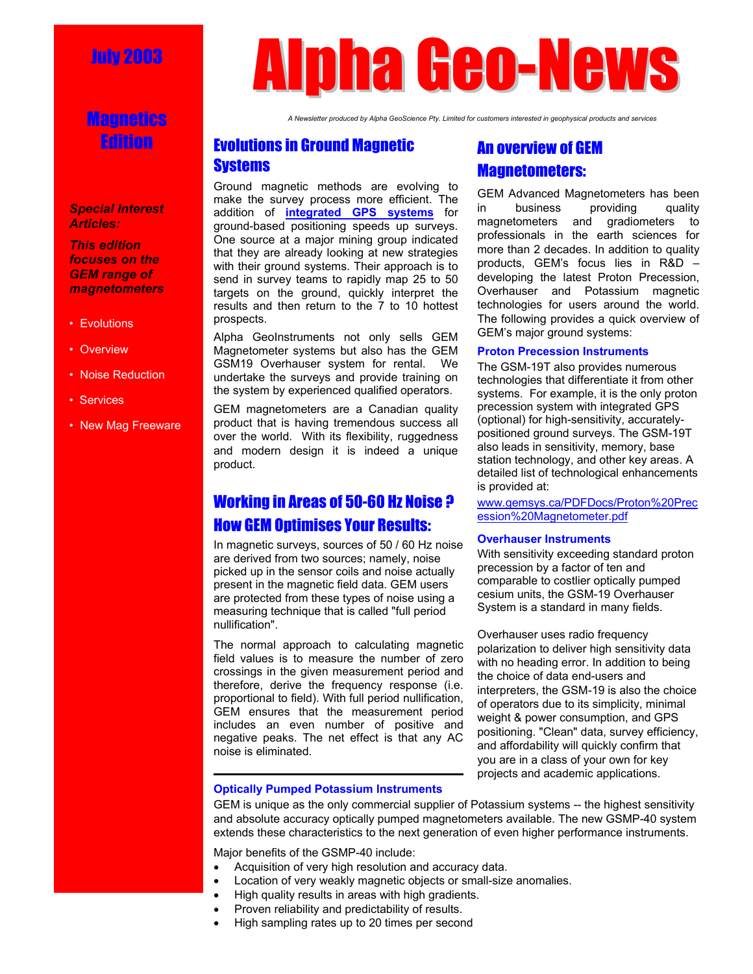# July 2003

## Magnetics Edition

*Special Interest Articles:* 

*This edition focuses on the GEM range of magnetometers* 

- Evolutions
- Overview
- Noise Reduction
- Services
- New Mag Freeware

# Alpha Geo-News

*A Newsletter produced by Alpha GeoScience Pty. Limited for customers interested in geophysical products and services* 

## Evolutions in Ground Magnetic **Systems**

Ground magnetic methods are evolving to make the survey process more efficient. The addition of **integrated GPS systems** for ground-based positioning speeds up surveys. One source at a major mining group indicated that they are already looking at new strategies with their ground systems. Their approach is to send in survey teams to rapidly map 25 to 50 targets on the ground, quickly interpret the results and then return to the 7 to 10 hottest prospects.

Alpha GeoInstruments not only sells GEM Magnetometer systems but also has the GEM GSM19 Overhauser system for rental. We undertake the surveys and provide training on the system by experienced qualified operators.

GEM magnetometers are a Canadian quality product that is having tremendous success all over the world. With its flexibility, ruggedness and modern design it is indeed a unique product.

## Working in Areas of 50-60 Hz Noise ? How GEM Optimises Your Results:

In magnetic surveys, sources of 50 / 60 Hz noise are derived from two sources; namely, noise picked up in the sensor coils and noise actually present in the magnetic field data. GEM users are protected from these types of noise using a measuring technique that is called "full period nullification".

The normal approach to calculating magnetic field values is to measure the number of zero crossings in the given measurement period and therefore, derive the frequency response (i.e. proportional to field). With full period nullification, GEM ensures that the measurement period includes an even number of positive and negative peaks. The net effect is that any AC noise is eliminated.

## An overview of GEM Magnetometers:

GEM Advanced Magnetometers has been in business providing quality magnetometers and gradiometers to professionals in the earth sciences for more than 2 decades. In addition to quality products, GEM's focus lies in R&D – developing the latest Proton Precession, Overhauser and Potassium magnetic technologies for users around the world. The following provides a quick overview of GEM's major ground systems:

#### **Proton Precession Instruments**

The GSM-19T also provides numerous technologies that differentiate it from other systems. For example, it is the only proton precession system with integrated GPS (optional) for high-sensitivity, accuratelypositioned ground surveys. The GSM-19T also leads in sensitivity, memory, base station technology, and other key areas. A detailed list of technological enhancements is provided at:

www.gemsys.ca/PDFDocs/Proton%20Prec ession%20Magnetometer.pdf

#### **Overhauser Instruments**

With sensitivity exceeding standard proton precession by a factor of ten and comparable to costlier optically pumped cesium units, the GSM-19 Overhauser System is a standard in many fields.

Overhauser uses radio frequency polarization to deliver high sensitivity data with no heading error. In addition to being the choice of data end-users and interpreters, the GSM-19 is also the choice of operators due to its simplicity, minimal weight & power consumption, and GPS positioning. "Clean" data, survey efficiency, and affordability will quickly confirm that you are in a class of your own for key projects and academic applications.

#### **Optically Pumped Potassium Instruments**

GEM is unique as the only commercial supplier of Potassium systems -- the highest sensitivity and absolute accuracy optically pumped magnetometers available. The new GSMP-40 system extends these characteristics to the next generation of even higher performance instruments.

Major benefits of the GSMP-40 include:

- Acquisition of very high resolution and accuracy data.
- Location of very weakly magnetic objects or small-size anomalies.
- High quality results in areas with high gradients.
- Proven reliability and predictability of results.
- High sampling rates up to 20 times per second